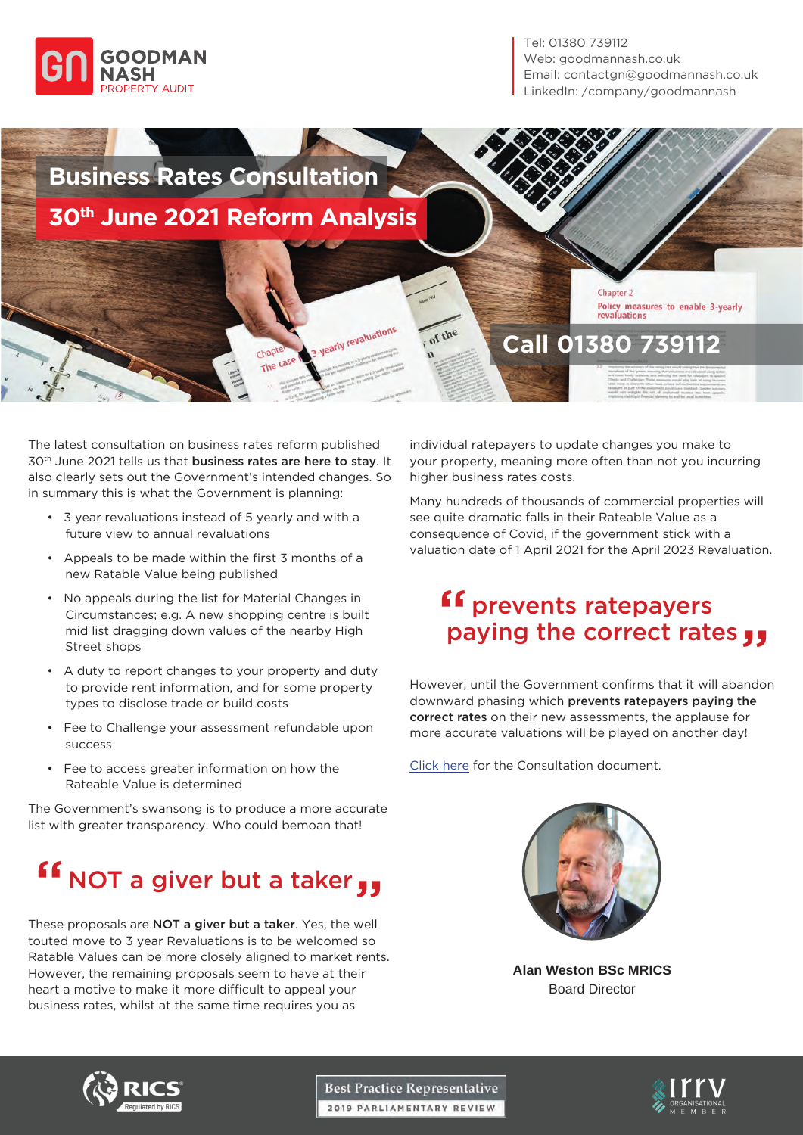

Tel: 01380 739112 Web: goodmannash.co.uk Email: contactgn@goodmannash.co.uk LinkedIn: /company/goodmannash

# **Business Rates Consultation 30th June 2021 Reform Analysis**

chapt The case 3-yearly revaluations

of the

Chapter 2 Policy measures to enable 3-yearly<br>revaluations

## **Call 01380 739112**

The latest consultation on business rates reform published 30<sup>th</sup> June 2021 tells us that **business rates are here to stay**. It also clearly sets out the Government's intended changes. So in summary this is what the Government is planning:

- 3 year revaluations instead of 5 yearly and with a future view to annual revaluations
- Appeals to be made within the first 3 months of a new Ratable Value being published
- No appeals during the list for Material Changes in Circumstances; e.g. A new shopping centre is built mid list dragging down values of the nearby High Street shops
- A duty to report changes to your property and duty to provide rent information, and for some property types to disclose trade or build costs
- Fee to Challenge your assessment refundable upon success
- Fee to access greater information on how the Rateable Value is determined

The Government's swansong is to produce a more accurate list with greater transparency. Who could bemoan that!

### NOT a giver but a taker Ef NOT a giver but a taker  $\overline{\mathbf{y}}$

These proposals are **NOT a giver but a taker**. Yes, the well touted move to 3 year Revaluations is to be welcomed so Ratable Values can be more closely aligned to market rents. However, the remaining proposals seem to have at their heart a motive to make it more difficult to appeal your business rates, whilst at the same time requires you as

individual ratepayers to update changes you make to your property, meaning more often than not you incurring higher business rates costs.

Many hundreds of thousands of commercial properties will see quite dramatic falls in their Rateable Value as a consequence of Covid, if the government stick with a valuation date of 1 April 2021 for the April 2023 Revaluation.

#### prevents ratepayers paying the correct rates " "

However, until the Government confirms that it will abandon downward phasing which prevents ratepayers paying the correct rates on their new assessments, the applause for more accurate valuations will be played on another day!

[Click here](http://goodmannash.co.uk/wp-content/uploads/2021/07/Consultation_More_Frequent_Revaluations.pdf) for the Consultation document.



**Alan Weston BSc MRICS** Board Director



**Best Practice Representative** 2019 PARLIAMENTARY REVIEW